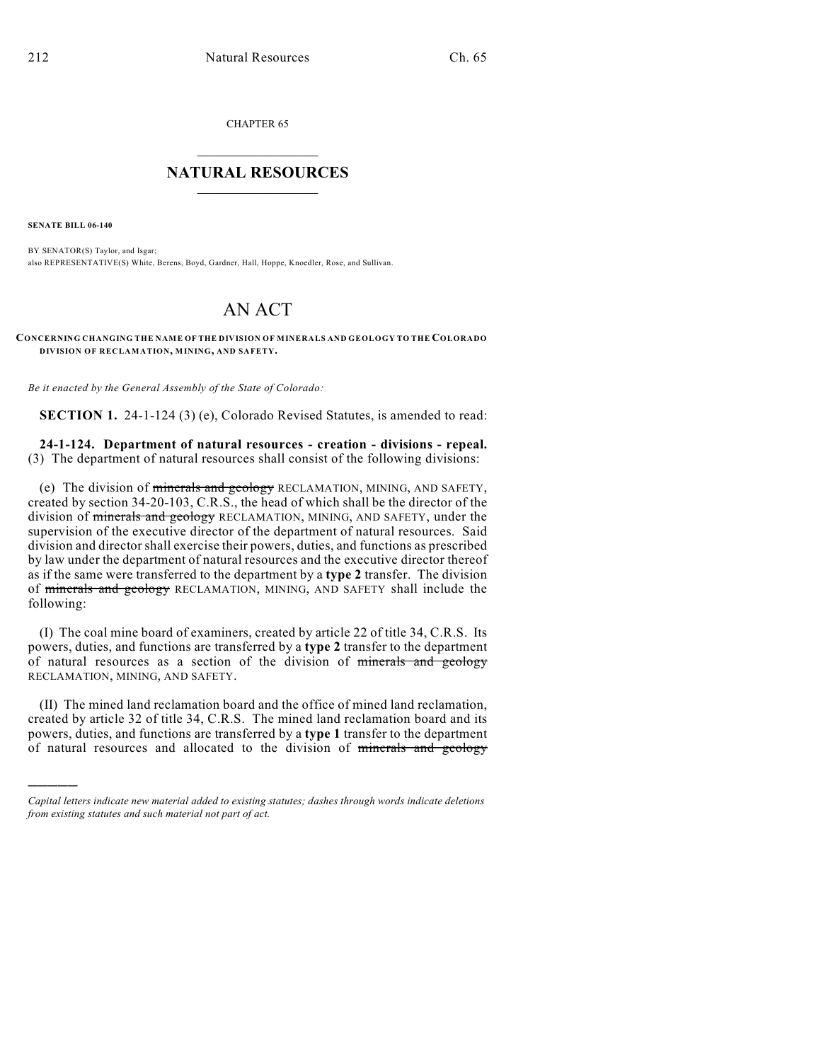CHAPTER 65  $\mathcal{L}_\text{max}$  . The set of the set of the set of the set of the set of the set of the set of the set of the set of the set of the set of the set of the set of the set of the set of the set of the set of the set of the set

## **NATURAL RESOURCES**  $\frac{1}{\sqrt{2}}$  , where  $\frac{1}{\sqrt{2}}$  ,  $\frac{1}{\sqrt{2}}$  ,  $\frac{1}{\sqrt{2}}$

**SENATE BILL 06-140**

)))))

BY SENATOR(S) Taylor, and Isgar; also REPRESENTATIVE(S) White, Berens, Boyd, Gardner, Hall, Hoppe, Knoedler, Rose, and Sullivan.

# AN ACT

**CONCERNING CHANGING THE NAME OF THE DIVISION OF MINERALS AND GEOLOGY TO THE COLORADO DIVISION OF RECLAMATION, MINING, AND SAFETY.**

*Be it enacted by the General Assembly of the State of Colorado:*

**SECTION 1.** 24-1-124 (3) (e), Colorado Revised Statutes, is amended to read:

## **24-1-124. Department of natural resources - creation - divisions - repeal.** (3) The department of natural resources shall consist of the following divisions:

(e) The division of minerals and geology RECLAMATION, MINING, AND SAFETY, created by section 34-20-103, C.R.S., the head of which shall be the director of the division of minerals and geology RECLAMATION, MINING, AND SAFETY, under the supervision of the executive director of the department of natural resources. Said division and director shall exercise their powers, duties, and functions as prescribed by law under the department of natural resources and the executive director thereof as if the same were transferred to the department by a **type 2** transfer. The division of minerals and geology RECLAMATION, MINING, AND SAFETY shall include the following:

(I) The coal mine board of examiners, created by article 22 of title 34, C.R.S. Its powers, duties, and functions are transferred by a **type 2** transfer to the department of natural resources as a section of the division of minerals and geology RECLAMATION, MINING, AND SAFETY.

(II) The mined land reclamation board and the office of mined land reclamation, created by article 32 of title 34, C.R.S. The mined land reclamation board and its powers, duties, and functions are transferred by a **type 1** transfer to the department of natural resources and allocated to the division of minerals and geology

*Capital letters indicate new material added to existing statutes; dashes through words indicate deletions from existing statutes and such material not part of act.*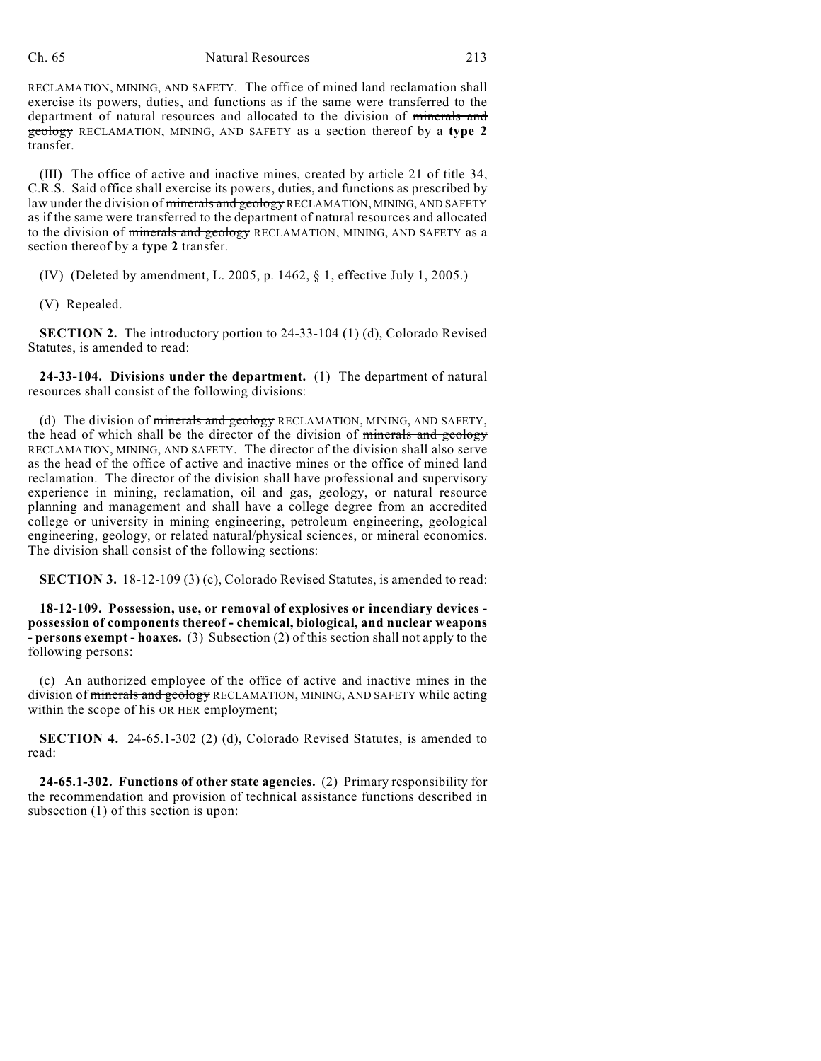### Ch. 65 Natural Resources 213

RECLAMATION, MINING, AND SAFETY. The office of mined land reclamation shall exercise its powers, duties, and functions as if the same were transferred to the department of natural resources and allocated to the division of minerals and geology RECLAMATION, MINING, AND SAFETY as a section thereof by a **type 2** transfer.

(III) The office of active and inactive mines, created by article 21 of title 34, C.R.S. Said office shall exercise its powers, duties, and functions as prescribed by law under the division of minerals and geology RECLAMATION, MINING, AND SAFETY as if the same were transferred to the department of natural resources and allocated to the division of minerals and geology RECLAMATION, MINING, AND SAFETY as a section thereof by a **type 2** transfer.

(IV) (Deleted by amendment, L. 2005, p. 1462, § 1, effective July 1, 2005.)

(V) Repealed.

**SECTION 2.** The introductory portion to 24-33-104 (1) (d), Colorado Revised Statutes, is amended to read:

**24-33-104. Divisions under the department.** (1) The department of natural resources shall consist of the following divisions:

(d) The division of minerals and geology RECLAMATION, MINING, AND SAFETY, the head of which shall be the director of the division of minerals and geology RECLAMATION, MINING, AND SAFETY. The director of the division shall also serve as the head of the office of active and inactive mines or the office of mined land reclamation. The director of the division shall have professional and supervisory experience in mining, reclamation, oil and gas, geology, or natural resource planning and management and shall have a college degree from an accredited college or university in mining engineering, petroleum engineering, geological engineering, geology, or related natural/physical sciences, or mineral economics. The division shall consist of the following sections:

**SECTION 3.** 18-12-109 (3) (c), Colorado Revised Statutes, is amended to read:

**18-12-109. Possession, use, or removal of explosives or incendiary devices possession of components thereof - chemical, biological, and nuclear weapons - persons exempt - hoaxes.** (3) Subsection (2) of this section shall not apply to the following persons:

(c) An authorized employee of the office of active and inactive mines in the division of minerals and geology RECLAMATION, MINING, AND SAFETY while acting within the scope of his OR HER employment;

**SECTION 4.** 24-65.1-302 (2) (d), Colorado Revised Statutes, is amended to read:

**24-65.1-302. Functions of other state agencies.** (2) Primary responsibility for the recommendation and provision of technical assistance functions described in subsection (1) of this section is upon: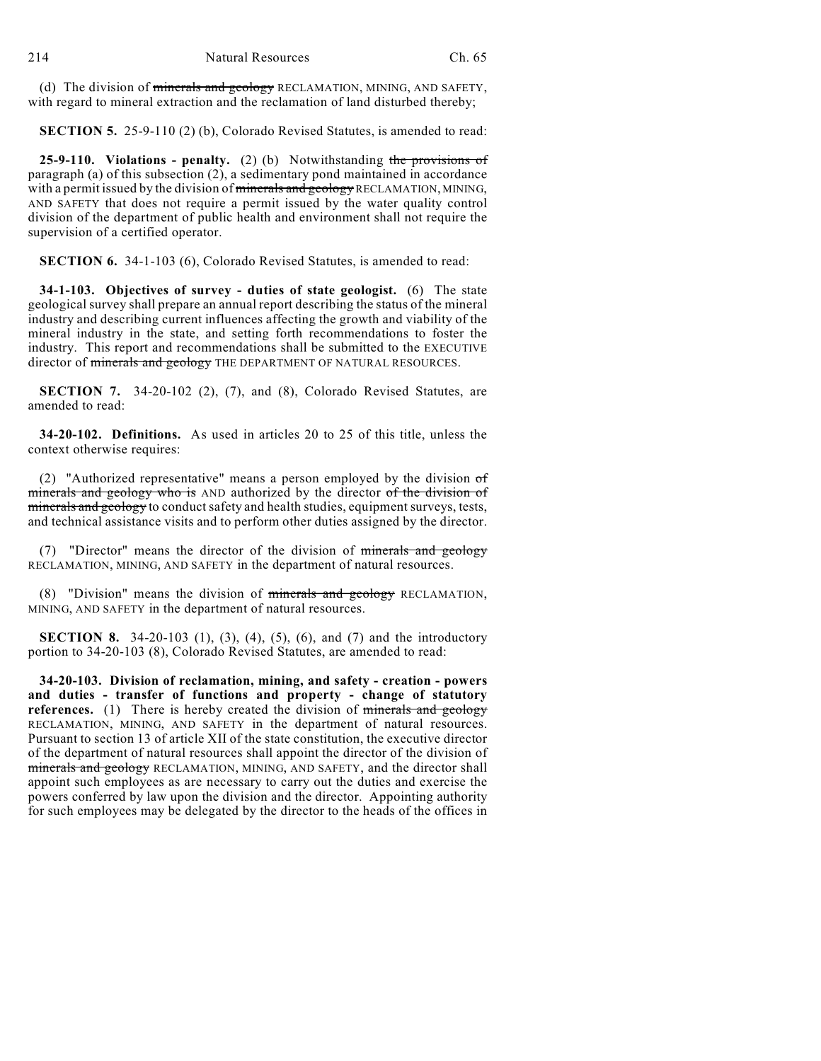(d) The division of minerals and geology RECLAMATION, MINING, AND SAFETY, with regard to mineral extraction and the reclamation of land disturbed thereby;

**SECTION 5.** 25-9-110 (2) (b), Colorado Revised Statutes, is amended to read:

**25-9-110. Violations - penalty.** (2) (b) Notwithstanding the provisions of paragraph (a) of this subsection (2), a sedimentary pond maintained in accordance with a permit issued by the division of minerals and geology RECLAMATION, MINING, AND SAFETY that does not require a permit issued by the water quality control division of the department of public health and environment shall not require the supervision of a certified operator.

**SECTION 6.** 34-1-103 (6), Colorado Revised Statutes, is amended to read:

**34-1-103. Objectives of survey - duties of state geologist.** (6) The state geological survey shall prepare an annual report describing the status of the mineral industry and describing current influences affecting the growth and viability of the mineral industry in the state, and setting forth recommendations to foster the industry. This report and recommendations shall be submitted to the EXECUTIVE director of minerals and geology THE DEPARTMENT OF NATURAL RESOURCES.

**SECTION 7.** 34-20-102 (2), (7), and (8), Colorado Revised Statutes, are amended to read:

**34-20-102. Definitions.** As used in articles 20 to 25 of this title, unless the context otherwise requires:

(2) "Authorized representative" means a person employed by the division  $\sigma f$ minerals and geology who is AND authorized by the director of the division of minerals and geology to conduct safety and health studies, equipment surveys, tests, and technical assistance visits and to perform other duties assigned by the director.

(7) "Director" means the director of the division of minerals and geology RECLAMATION, MINING, AND SAFETY in the department of natural resources.

(8) "Division" means the division of minerals and geology RECLAMATION, MINING, AND SAFETY in the department of natural resources.

**SECTION 8.** 34-20-103 (1), (3), (4), (5), (6), and (7) and the introductory portion to 34-20-103 (8), Colorado Revised Statutes, are amended to read:

**34-20-103. Division of reclamation, mining, and safety - creation - powers and duties - transfer of functions and property - change of statutory references.** (1) There is hereby created the division of minerals and geology RECLAMATION, MINING, AND SAFETY in the department of natural resources. Pursuant to section 13 of article XII of the state constitution, the executive director of the department of natural resources shall appoint the director of the division of minerals and geology RECLAMATION, MINING, AND SAFETY, and the director shall appoint such employees as are necessary to carry out the duties and exercise the powers conferred by law upon the division and the director. Appointing authority for such employees may be delegated by the director to the heads of the offices in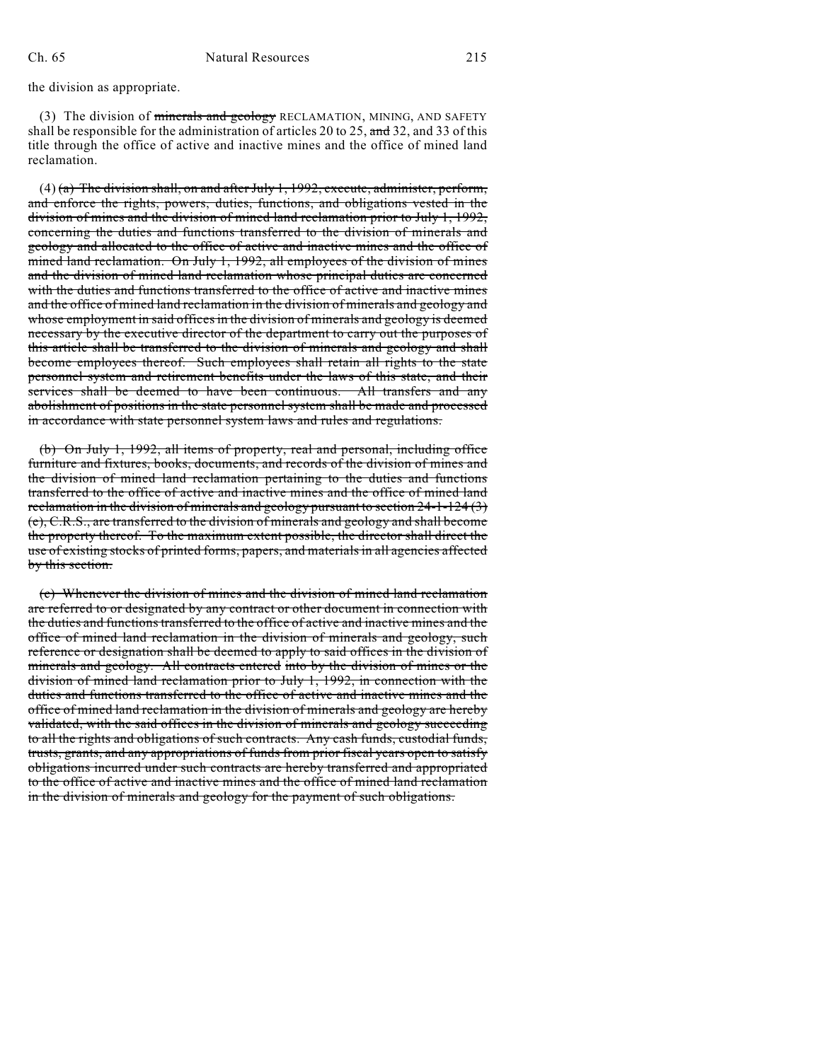the division as appropriate.

(3) The division of minerals and geology RECLAMATION, MINING, AND SAFETY shall be responsible for the administration of articles 20 to 25, and 32, and 33 of this title through the office of active and inactive mines and the office of mined land reclamation.

 $(4)$  (a) The division shall, on and after July 1, 1992, execute, administer, perform, and enforce the rights, powers, duties, functions, and obligations vested in the division of mines and the division of mined land reclamation prior to July 1, 1992, concerning the duties and functions transferred to the division of minerals and geology and allocated to the office of active and inactive mines and the office of mined land reclamation. On July 1, 1992, all employees of the division of mines and the division of mined land reclamation whose principal duties are concerned with the duties and functions transferred to the office of active and inactive mines and the office of mined land reclamation in the division of minerals and geology and whose employment in said offices in the division of minerals and geology is deemed necessary by the executive director of the department to carry out the purposes of this article shall be transferred to the division of minerals and geology and shall become employees thereof. Such employees shall retain all rights to the state personnel system and retirement benefits under the laws of this state, and their services shall be deemed to have been continuous. All transfers and any abolishment of positions in the state personnel system shall be made and processed in accordance with state personnel system laws and rules and regulations.

(b) On July 1, 1992, all items of property, real and personal, including office furniture and fixtures, books, documents, and records of the division of mines and the division of mined land reclamation pertaining to the duties and functions transferred to the office of active and inactive mines and the office of mined land reclamation in the division of minerals and geology pursuant to section 24-1-124 (3) (e), C.R.S., are transferred to the division of minerals and geology and shall become the property thereof. To the maximum extent possible, the director shall direct the use of existing stocks of printed forms, papers, and materials in all agencies affected by this section.

(c) Whenever the division of mines and the division of mined land reclamation are referred to or designated by any contract or other document in connection with the duties and functions transferred to the office of active and inactive mines and the office of mined land reclamation in the division of minerals and geology, such reference or designation shall be deemed to apply to said offices in the division of minerals and geology. All contracts entered into by the division of mines or the division of mined land reclamation prior to July 1, 1992, in connection with the duties and functions transferred to the office of active and inactive mines and the office of mined land reclamation in the division of minerals and geology are hereby validated, with the said offices in the division of minerals and geology succeeding to all the rights and obligations of such contracts. Any cash funds, custodial funds, trusts, grants, and any appropriations of funds from prior fiscal years open to satisfy obligations incurred under such contracts are hereby transferred and appropriated to the office of active and inactive mines and the office of mined land reclamation in the division of minerals and geology for the payment of such obligations.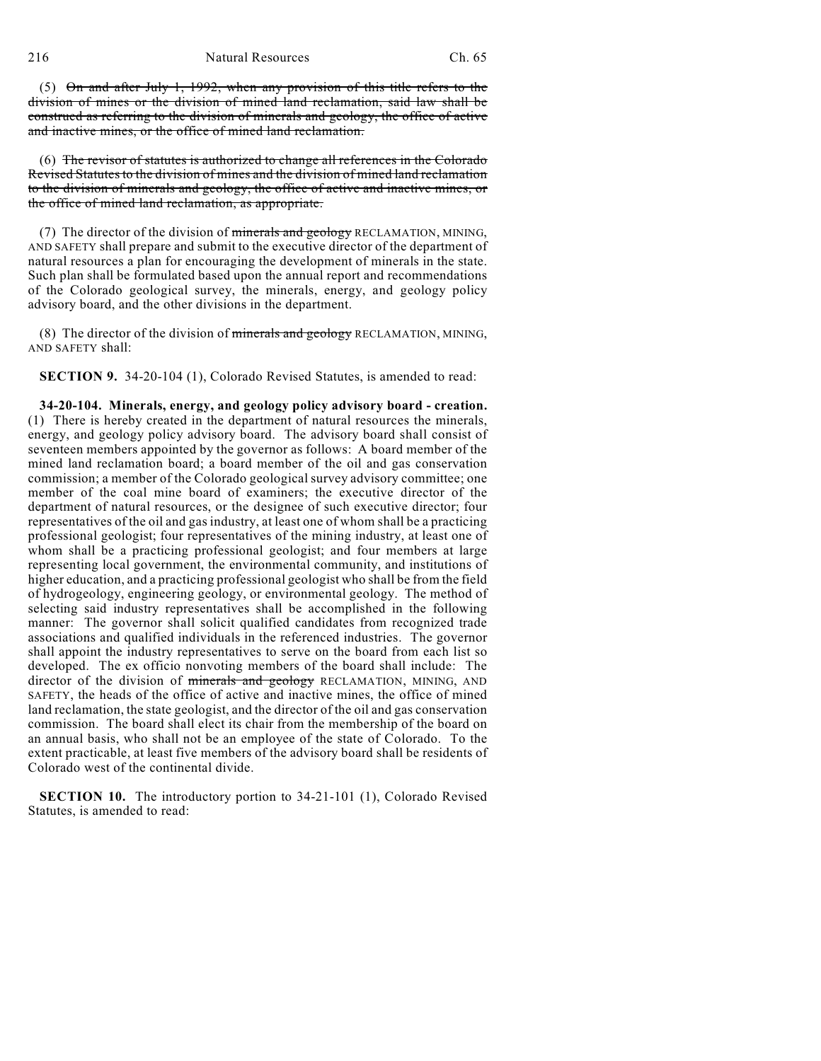(5) On and after July 1, 1992, when any provision of this title refers to the division of mines or the division of mined land reclamation, said law shall be construed as referring to the division of minerals and geology, the office of active and inactive mines, or the office of mined land reclamation.

(6) The revisor of statutes is authorized to change all references in the Colorado Revised Statutes to the division of mines and the division of mined land reclamation to the division of minerals and geology, the office of active and inactive mines, or the office of mined land reclamation, as appropriate.

(7) The director of the division of minerals and geology RECLAMATION, MINING, AND SAFETY shall prepare and submit to the executive director of the department of natural resources a plan for encouraging the development of minerals in the state. Such plan shall be formulated based upon the annual report and recommendations of the Colorado geological survey, the minerals, energy, and geology policy advisory board, and the other divisions in the department.

(8) The director of the division of minerals and geology RECLAMATION, MINING, AND SAFETY shall:

**SECTION 9.** 34-20-104 (1), Colorado Revised Statutes, is amended to read:

**34-20-104. Minerals, energy, and geology policy advisory board - creation.** (1) There is hereby created in the department of natural resources the minerals, energy, and geology policy advisory board. The advisory board shall consist of seventeen members appointed by the governor as follows: A board member of the mined land reclamation board; a board member of the oil and gas conservation commission; a member of the Colorado geological survey advisory committee; one member of the coal mine board of examiners; the executive director of the department of natural resources, or the designee of such executive director; four representatives of the oil and gas industry, at least one of whom shall be a practicing professional geologist; four representatives of the mining industry, at least one of whom shall be a practicing professional geologist; and four members at large representing local government, the environmental community, and institutions of higher education, and a practicing professional geologist who shall be from the field of hydrogeology, engineering geology, or environmental geology. The method of selecting said industry representatives shall be accomplished in the following manner: The governor shall solicit qualified candidates from recognized trade associations and qualified individuals in the referenced industries. The governor shall appoint the industry representatives to serve on the board from each list so developed. The ex officio nonvoting members of the board shall include: The director of the division of minerals and geology RECLAMATION, MINING, AND SAFETY, the heads of the office of active and inactive mines, the office of mined land reclamation, the state geologist, and the director of the oil and gas conservation commission. The board shall elect its chair from the membership of the board on an annual basis, who shall not be an employee of the state of Colorado. To the extent practicable, at least five members of the advisory board shall be residents of Colorado west of the continental divide.

**SECTION 10.** The introductory portion to 34-21-101 (1), Colorado Revised Statutes, is amended to read: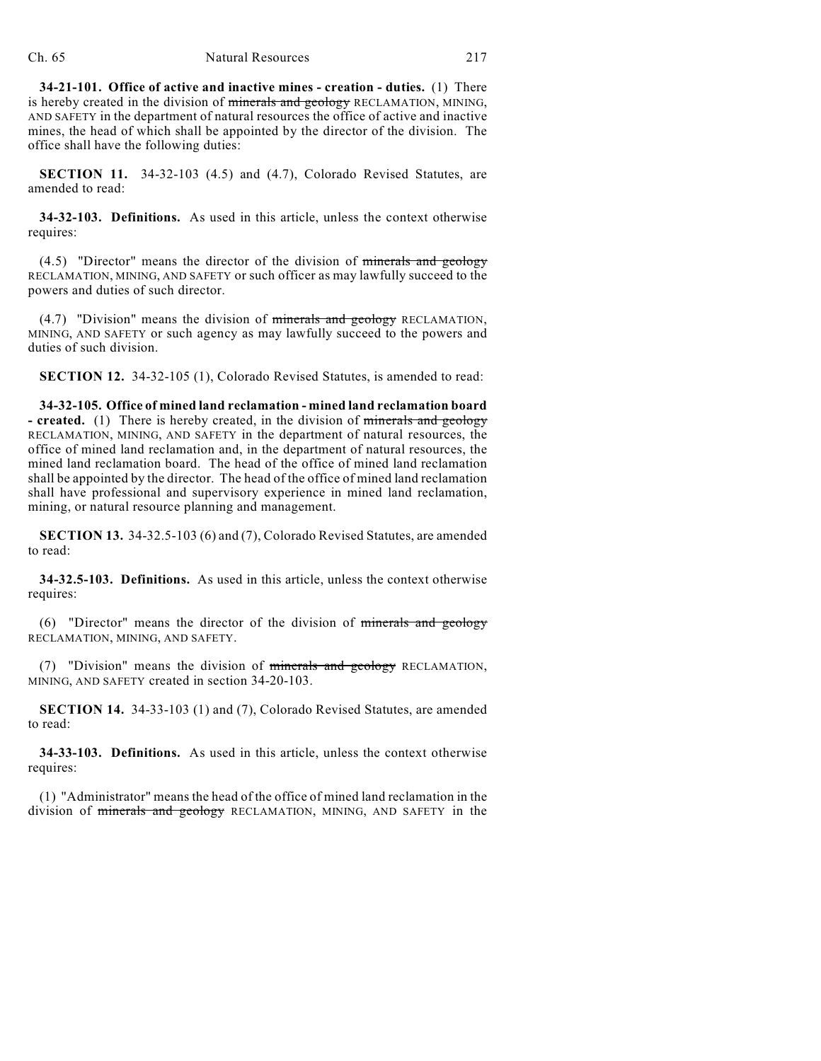**34-21-101. Office of active and inactive mines - creation - duties.** (1) There is hereby created in the division of minerals and geology RECLAMATION, MINING, AND SAFETY in the department of natural resources the office of active and inactive mines, the head of which shall be appointed by the director of the division. The office shall have the following duties:

**SECTION 11.** 34-32-103 (4.5) and (4.7), Colorado Revised Statutes, are amended to read:

**34-32-103. Definitions.** As used in this article, unless the context otherwise requires:

 $(4.5)$  "Director" means the director of the division of minerals and geology RECLAMATION, MINING, AND SAFETY or such officer as may lawfully succeed to the powers and duties of such director.

(4.7) "Division" means the division of minerals and geology RECLAMATION, MINING, AND SAFETY or such agency as may lawfully succeed to the powers and duties of such division.

**SECTION 12.** 34-32-105 (1), Colorado Revised Statutes, is amended to read:

**34-32-105. Office of mined land reclamation - mined land reclamation board - created.** (1) There is hereby created, in the division of minerals and geology RECLAMATION, MINING, AND SAFETY in the department of natural resources, the office of mined land reclamation and, in the department of natural resources, the mined land reclamation board. The head of the office of mined land reclamation shall be appointed by the director. The head of the office of mined land reclamation shall have professional and supervisory experience in mined land reclamation, mining, or natural resource planning and management.

**SECTION 13.** 34-32.5-103 (6) and (7), Colorado Revised Statutes, are amended to read:

**34-32.5-103. Definitions.** As used in this article, unless the context otherwise requires:

(6) "Director" means the director of the division of minerals and geology RECLAMATION, MINING, AND SAFETY.

(7) "Division" means the division of minerals and geology RECLAMATION, MINING, AND SAFETY created in section 34-20-103.

**SECTION 14.** 34-33-103 (1) and (7), Colorado Revised Statutes, are amended to read:

**34-33-103. Definitions.** As used in this article, unless the context otherwise requires:

(1) "Administrator" means the head of the office of mined land reclamation in the division of minerals and geology RECLAMATION, MINING, AND SAFETY in the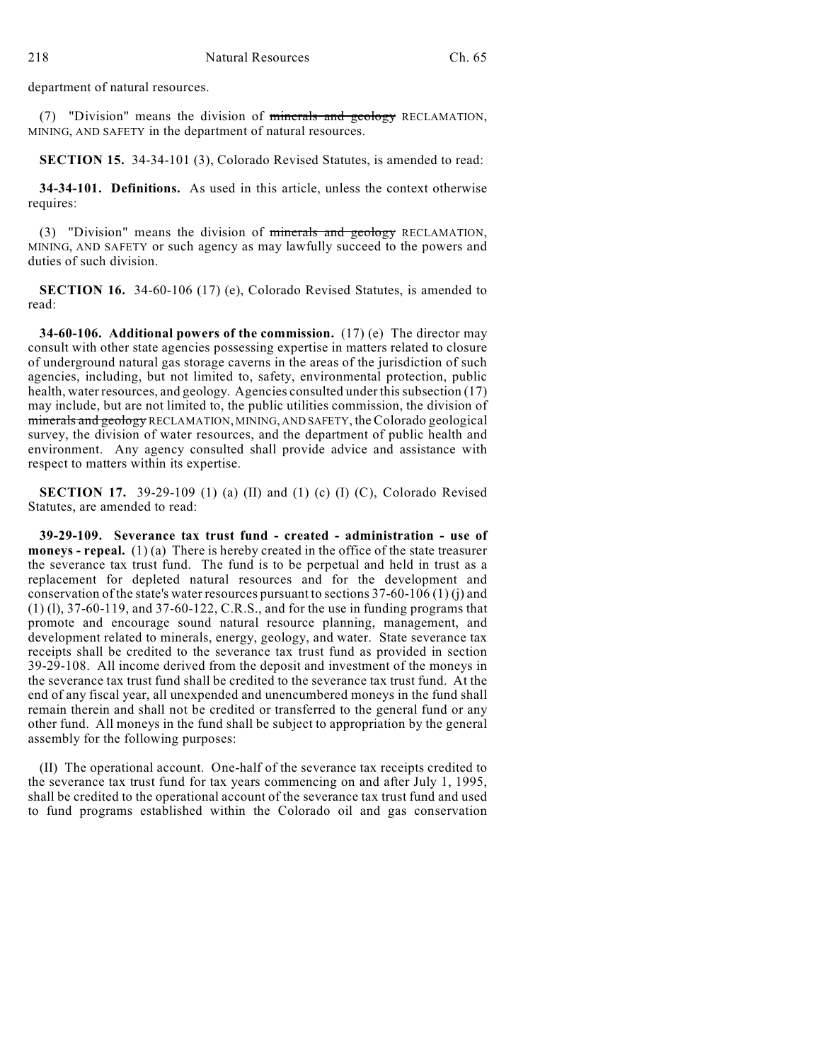department of natural resources.

(7) "Division" means the division of minerals and geology RECLAMATION, MINING, AND SAFETY in the department of natural resources.

**SECTION 15.** 34-34-101 (3), Colorado Revised Statutes, is amended to read:

**34-34-101. Definitions.** As used in this article, unless the context otherwise requires:

(3) "Division" means the division of minerals and geology RECLAMATION, MINING, AND SAFETY or such agency as may lawfully succeed to the powers and duties of such division.

**SECTION 16.** 34-60-106 (17) (e), Colorado Revised Statutes, is amended to read:

**34-60-106. Additional powers of the commission.** (17) (e) The director may consult with other state agencies possessing expertise in matters related to closure of underground natural gas storage caverns in the areas of the jurisdiction of such agencies, including, but not limited to, safety, environmental protection, public health, water resources, and geology. Agencies consulted under this subsection (17) may include, but are not limited to, the public utilities commission, the division of minerals and geology RECLAMATION, MINING, AND SAFETY, the Colorado geological survey, the division of water resources, and the department of public health and environment. Any agency consulted shall provide advice and assistance with respect to matters within its expertise.

**SECTION 17.** 39-29-109 (1) (a) (II) and (1) (c) (I) (C), Colorado Revised Statutes, are amended to read:

**39-29-109. Severance tax trust fund - created - administration - use of moneys - repeal.** (1) (a) There is hereby created in the office of the state treasurer the severance tax trust fund. The fund is to be perpetual and held in trust as a replacement for depleted natural resources and for the development and conservation of the state's water resources pursuant to sections  $37-60-106(1)(i)$  and (1) (l), 37-60-119, and 37-60-122, C.R.S., and for the use in funding programs that promote and encourage sound natural resource planning, management, and development related to minerals, energy, geology, and water. State severance tax receipts shall be credited to the severance tax trust fund as provided in section 39-29-108. All income derived from the deposit and investment of the moneys in the severance tax trust fund shall be credited to the severance tax trust fund. At the end of any fiscal year, all unexpended and unencumbered moneys in the fund shall remain therein and shall not be credited or transferred to the general fund or any other fund. All moneys in the fund shall be subject to appropriation by the general assembly for the following purposes:

(II) The operational account. One-half of the severance tax receipts credited to the severance tax trust fund for tax years commencing on and after July 1, 1995, shall be credited to the operational account of the severance tax trust fund and used to fund programs established within the Colorado oil and gas conservation